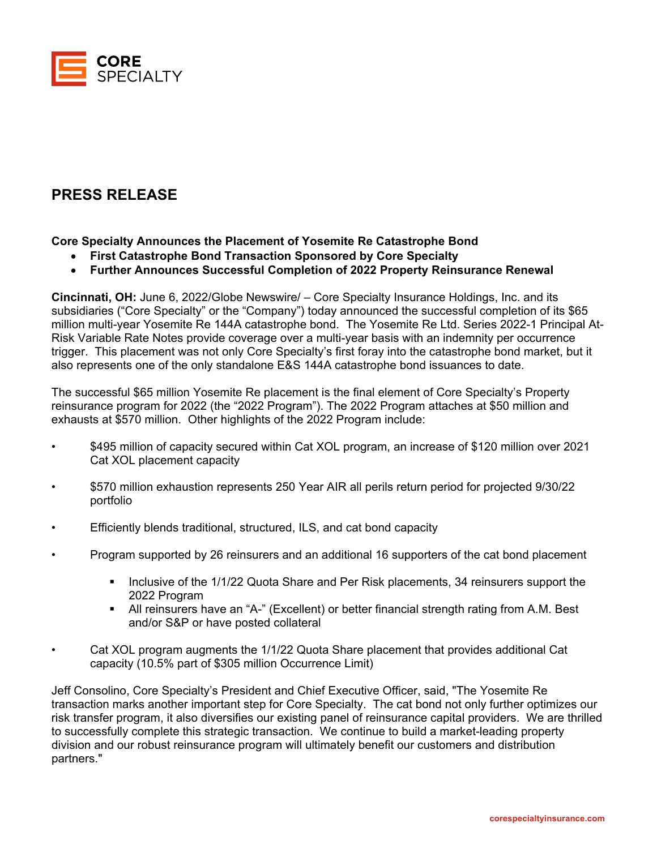

## **PRESS RELEASE**

## **Core Specialty Announces the Placement of Yosemite Re Catastrophe Bond**

- **First Catastrophe Bond Transaction Sponsored by Core Specialty**
- **Further Announces Successful Completion of 2022 Property Reinsurance Renewal**

**Cincinnati, OH:** June 6, 2022/Globe Newswire/ – Core Specialty Insurance Holdings, Inc. and its subsidiaries ("Core Specialty" or the "Company") today announced the successful completion of its \$65 million multi-year Yosemite Re 144A catastrophe bond. The Yosemite Re Ltd. Series 2022-1 Principal At-Risk Variable Rate Notes provide coverage over a multi-year basis with an indemnity per occurrence trigger. This placement was not only Core Specialty's first foray into the catastrophe bond market, but it also represents one of the only standalone E&S 144A catastrophe bond issuances to date.

The successful \$65 million Yosemite Re placement is the final element of Core Specialty's Property reinsurance program for 2022 (the "2022 Program"). The 2022 Program attaches at \$50 million and exhausts at \$570 million. Other highlights of the 2022 Program include:

- \$495 million of capacity secured within Cat XOL program, an increase of \$120 million over 2021 Cat XOL placement capacity
- \$570 million exhaustion represents 250 Year AIR all perils return period for projected 9/30/22 portfolio
- Efficiently blends traditional, structured, ILS, and cat bond capacity
- Program supported by 26 reinsurers and an additional 16 supporters of the cat bond placement
	- Inclusive of the 1/1/22 Quota Share and Per Risk placements, 34 reinsurers support the 2022 Program
	- All reinsurers have an "A-" (Excellent) or better financial strength rating from A.M. Best and/or S&P or have posted collateral
- Cat XOL program augments the 1/1/22 Quota Share placement that provides additional Cat capacity (10.5% part of \$305 million Occurrence Limit)

Jeff Consolino, Core Specialty's President and Chief Executive Officer, said, "The Yosemite Re transaction marks another important step for Core Specialty. The cat bond not only further optimizes our risk transfer program, it also diversifies our existing panel of reinsurance capital providers. We are thrilled to successfully complete this strategic transaction. We continue to build a market-leading property division and our robust reinsurance program will ultimately benefit our customers and distribution partners."